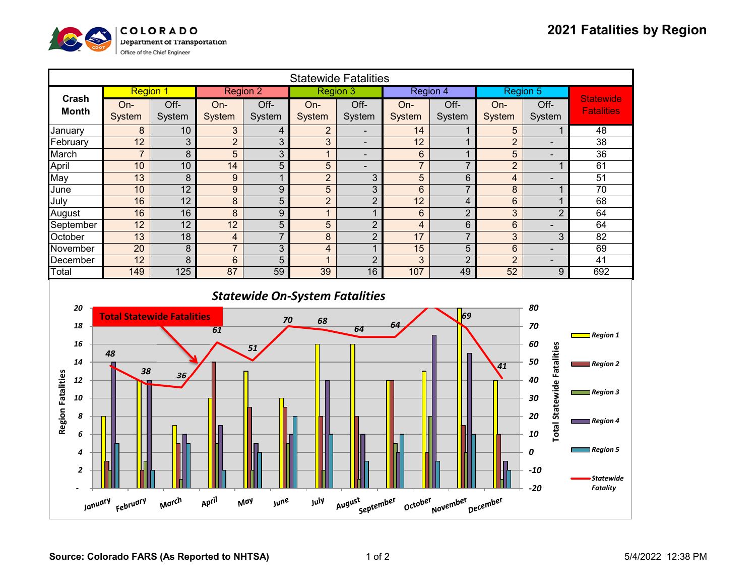

| <b>Statewide Fatalities</b>                               |                                               |                  |                         |                       |                 |                          |                         |                |                         |                                                                       |                                                                                           |
|-----------------------------------------------------------|-----------------------------------------------|------------------|-------------------------|-----------------------|-----------------|--------------------------|-------------------------|----------------|-------------------------|-----------------------------------------------------------------------|-------------------------------------------------------------------------------------------|
| Crash                                                     | <b>Region 1</b>                               |                  | <b>Region 2</b>         |                       | <b>Region 3</b> |                          | Region 4                |                | Region 5                |                                                                       | <b>Statewide</b>                                                                          |
| <b>Month</b>                                              | On-                                           | Off-             | On-                     | Off-                  | On-             | Off-                     | On-                     | Off-           | On-                     | Off-                                                                  | <b>Fatalities</b>                                                                         |
|                                                           | System                                        | System           | System                  | System                | System          | System                   | System                  | System         | System                  | System                                                                |                                                                                           |
| January                                                   | $\bf 8$                                       | 10               | $\overline{3}$          | $\overline{4}$        | $\overline{2}$  | $\overline{\phantom{a}}$ | 14                      | $\mathbf{1}$   | 5                       | $\mathbf{1}$                                                          | 48                                                                                        |
| February                                                  | $\overline{12}$                               | 3                | $\overline{2}$          | $\overline{3}$        | 3               | $\overline{\phantom{a}}$ | $\overline{12}$         | $\mathbf{1}$   | $\overline{2}$          | $\overline{\phantom{a}}$                                              | $\overline{38}$                                                                           |
| March                                                     | $\overline{7}$                                | 8                | 5                       | $\overline{3}$        | $\mathbf{1}$    | $\overline{\phantom{a}}$ | $6\phantom{a}$          | $\mathbf{1}$   | 5                       | $\blacksquare$                                                        | 36                                                                                        |
| April                                                     | 10                                            | 10               | 14                      | $\overline{5}$        | $\overline{5}$  | $\overline{\phantom{0}}$ | $\overline{7}$          | $\overline{7}$ | $\overline{2}$          | $\mathbf{1}$                                                          | 61                                                                                        |
| May                                                       | 13                                            | $\boldsymbol{8}$ | $\boldsymbol{9}$        | $\mathbf{1}$          | $\overline{2}$  | $\mathfrak{S}$           | 5                       | $6\phantom{a}$ | $\overline{\mathbf{4}}$ | $\overline{\phantom{0}}$                                              | 51                                                                                        |
| June                                                      | 10                                            | $\overline{12}$  | $\boldsymbol{9}$        | $\boldsymbol{9}$      | 5               | 3                        | $6\phantom{1}$          | $\overline{7}$ | 8                       | $\mathbf{1}$                                                          | 70                                                                                        |
| July                                                      | 16                                            | $\overline{12}$  | 8                       | $\overline{5}$        | $\overline{2}$  | $\overline{2}$           | 12                      | $\overline{4}$ | $6\phantom{a}$          | $\mathbf 1$                                                           | 68                                                                                        |
| August                                                    | 16                                            | 16               | $\overline{8}$          | $\overline{9}$        | $\mathbf{1}$    | $\mathbf{1}$             | $6\phantom{a}$          | $\overline{2}$ | $\overline{3}$          | $\overline{2}$                                                        | 64                                                                                        |
| September                                                 | $\overline{12}$                               | $\overline{12}$  | $\overline{12}$         | $\overline{5}$        | $\overline{5}$  | $\overline{2}$           | $\overline{\mathbf{4}}$ | $\overline{6}$ | $6\phantom{a}$          |                                                                       | 64                                                                                        |
| October                                                   | $\overline{13}$                               | $\overline{18}$  | $\overline{\mathbf{4}}$ | $\overline{7}$        | $\overline{8}$  | $\overline{2}$           | 17                      | $\overline{7}$ | $\overline{3}$          | 3                                                                     | $\overline{82}$                                                                           |
| November                                                  | $\overline{20}$                               | $\overline{8}$   | $\overline{7}$          | $\overline{3}$        | $\overline{4}$  | $\mathbf{1}$             | 15                      | $\overline{5}$ | $\overline{6}$          | $\blacksquare$                                                        | 69                                                                                        |
| December                                                  | $\overline{12}$                               | 8                | $6\phantom{1}$          | $\overline{5}$        | $\mathbf{1}$    | $\overline{2}$           | 3                       | $\overline{2}$ | $\overline{2}$          | $\blacksquare$                                                        | $\overline{41}$                                                                           |
| Total                                                     | 149                                           | 125              | 87                      | 59                    | 39              | 16                       | 107                     | 49             | 52                      | $\boldsymbol{9}$                                                      | 692                                                                                       |
| 20<br>18<br>16<br>14<br>12<br>10                          | <b>Total Statewide Fatalities</b><br>48<br>38 | 36               | 61                      | 70<br>$\overline{51}$ | 68              | 64                       | 64                      | 69             | $\overline{41}$         | 80<br>70<br>60<br><b>Total Statewide Fatalities</b><br>50<br>40<br>30 | $\Box$ Region 1<br>Region 2<br>Region 3                                                   |
| <b>Region Fatalities</b><br>8<br>6<br>4<br>$\overline{2}$ |                                               |                  |                         |                       |                 |                          |                         |                |                         | 20<br>10<br>0<br>$-10$<br>$-20$                                       | $\blacksquare$ Region 4<br>$\blacksquare$ Region 5<br><b>Statewide</b><br><b>Fatality</b> |
| January                                                   | February                                      | March            | April                   | May<br><b>june</b>    | July            | August<br>September      | October                 | November       | December                |                                                                       |                                                                                           |